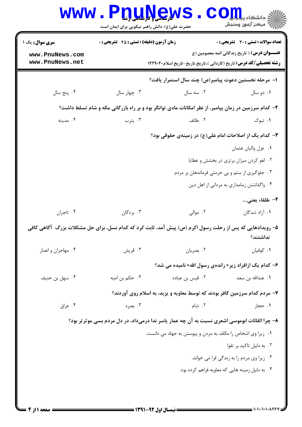| <b>سری سوال :</b> یک ۱ | زمان آزمون (دقیقه) : تستی : 45 آتشریحی : 0                                                                |                                                                            | تعداد سوالات : تستى : 30 - تشريحي : 0                |
|------------------------|-----------------------------------------------------------------------------------------------------------|----------------------------------------------------------------------------|------------------------------------------------------|
| www.PnuNews.com        |                                                                                                           |                                                                            | <b>عنـــوان درس:</b> ( تاریخ زندگانی ائمه معصومین (ع |
| www.PnuNews.net        |                                                                                                           | <b>رشته تحصیلی/کد درس:</b> تاریخ (کاردانی )،تاریخ،تاریخ-تاریخ اسلام۱۲۲۹۰۴۰ |                                                      |
|                        |                                                                                                           | ا– مرحله نخستین دعوت پیامبر(ص) چند سال استمرار یافت؟                       |                                                      |
| ۰۴ پنج سال             | ۰۳ چهار سال                                                                                               | ۰۲ سه سال                                                                  | ۰۱ دو سال                                            |
|                        | ۲- کدام سرزمین در زمان پیامبر، از نظر امکانات مادی توانگر بود و بر راه بازرگانی مکه و شام تسلط داشت؟      |                                                                            |                                                      |
| ۰۴ مدينه               | ۰۳ يثرب                                                                                                   | ٢. طائف                                                                    | ۰۱ تبوک                                              |
|                        |                                                                                                           | ۳- کدام یک از اصلاحات امام علی(ع) در زمینهی حقوقی بود؟                     |                                                      |
|                        |                                                                                                           |                                                                            | ٠١ عزل واليان عثمان                                  |
|                        |                                                                                                           |                                                                            | ۰۲ لغو کردن میزان برتری در بخشش و عطایا              |
|                        |                                                                                                           |                                                                            | ۰۳ جلوگیری از ستم و بی حرمتی فرماندهان بر مردم       |
|                        |                                                                                                           |                                                                            | ۰۴ واگذاشتن زمامداری به مردانی از اهل دین            |
|                        |                                                                                                           |                                                                            | ۴– طلقاء يعني                                        |
| ۰۴ تاجران              | ۰۳ بردگان                                                                                                 | ۰۲ موالی                                                                   | ۰۱ آزاد شدگان                                        |
|                        | ۵– رویدادهایی که پس از رحلت رسول اکرم (ص) پیش آمد، ثابت کرد که کدام نسل، برای حل مشکلات بزرگ ۖ آگاهی کافی |                                                                            | نداشتند؟                                             |
| ۰۴ مهاجران و انصار     | ۰۳ قريش                                                                                                   | ۰۲ بصريان                                                                  | ٠١ كوفيان                                            |
|                        |                                                                                                           | ۶- کدام یک ازافراد زیر « راندهی رسول الله» نامیده می شد؟                   |                                                      |
| ۰۴ سهل بن حنيف         | ۰۳ حکم بن امیه                                                                                            | ۰۲ قیس بن عباده                                                            | ٠١ عبدالله بن سعد                                    |
|                        |                                                                                                           | ۷– مردم کدام سرزمین کافر بودند که توسط معاویه و یزید، به اسلام روی آوردند؟ |                                                      |
| ۰۴ عراق                | ۰۳ بصره                                                                                                   | ۰۲ شام                                                                     | ۰۱ حجاز                                              |
|                        | ۸– چرا القائات ابوموسی اشعری نسبت به آن چه عمار یاسر ندا درمیداد، در دل مردم بسی موثر تر بود؟             |                                                                            |                                                      |
|                        |                                                                                                           | ۰۱ زیرا وی اشخاص را مکلف به مردن و پیوستن به جهاد می دانست.                |                                                      |
|                        |                                                                                                           |                                                                            | ۰۲ به دلیل تاکید بر تقوا                             |
|                        |                                                                                                           |                                                                            | ۰۳ زیرا وی مردم را به زندگی فرا می خواند.            |
|                        |                                                                                                           |                                                                            | ۰۴ به دلیل زمینه هایی که معاویه فراهم کرده بود.      |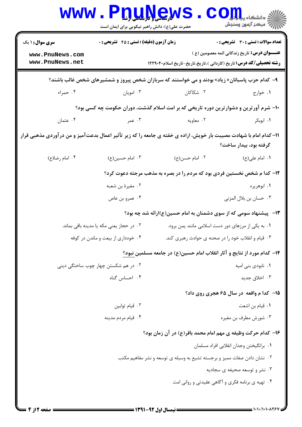| <b>WWW</b>                                                                                                                                   |                                                                         | <b>U.H. L.H. J.H. J.H. J.H.</b><br>حضرت علی(ع): دانش راهبر نیکویی برای ایمان است               | $O_{\blacksquare}$ دانشکاه پی<br>رُ⁄ کرڪز آزمون وسنڊش |  |
|----------------------------------------------------------------------------------------------------------------------------------------------|-------------------------------------------------------------------------|------------------------------------------------------------------------------------------------|-------------------------------------------------------|--|
| <b>سری سوال : ۱ یک</b>                                                                                                                       | <b>زمان آزمون (دقیقه) : تستی : 45 گتشریحی : 0</b>                       |                                                                                                | تعداد سوالات : تستي : 30 ٪ تشريحي : 0                 |  |
| www.PnuNews.com<br>www.PnuNews.net                                                                                                           |                                                                         | <b>رشته تحصیلی/کد درس:</b> تاریخ (کاردانی )،تاریخ،تاریخ-تاریخ اسلام۲۲۹۰۴۰                      | <b>عنـــوان درس:</b> تاریخ زندگانی ائمه معصومین (ع )  |  |
|                                                                                                                                              |                                                                         | ۹- کدام حزب پاسبانان« زیاد» بودند و می خواستند که سربازان شخص پیروز و شمشیرهای شخص غالب باشند؟ |                                                       |  |
| ۰۴ حمراء                                                                                                                                     | ۰۳ امويان                                                               | ۰۲ شکاکان                                                                                      | ۰۱ خوارج                                              |  |
|                                                                                                                                              |                                                                         | ∙۱− شرم آورترین و دشوارترین دوره تاریخی که بر امت اسلام گذشت، دوران حکومت چه کسی بود؟          |                                                       |  |
| ۰۴ عثمان                                                                                                                                     | ۰۳ عمر                                                                  | ۰۲ معاویه                                                                                      | ۰۱ ابوبکر                                             |  |
| 11- کدام امام با شهادت مصیبت بار خویش، اراده ی خفته ی جامعه را که زیر تأثیر اعمال بدعتآمیز و من درآوردی مذهبی قرار<br>گرفته بود، بیدار ساخت؟ |                                                                         |                                                                                                |                                                       |  |
| ۰۴ امام رضا(ع)                                                                                                                               | ۰۳ امام حسین(ع)                                                         | ۰۲ امام حسن(ع)                                                                                 | ۰۱ امام علی(ع)                                        |  |
|                                                                                                                                              |                                                                         | ۱۲- کدا م شخص نخستین فردی بود که مردم را در بصره به مذهب مرجئه دعوت کرد؟                       |                                                       |  |
|                                                                                                                                              | ۰۲ مغیرهٔ بن شعبه                                                       |                                                                                                | ۰۱ ابوهريره                                           |  |
|                                                                                                                                              | ۰۴ عمرو بن عاص                                                          |                                                                                                | ٠٣ حسان بن بلال المزنى                                |  |
|                                                                                                                                              |                                                                         | ۱۳–   پیشنهاد سومی که از سوی دشمنان به امام حسین(ع)ارائه شد چه بود؟                            |                                                       |  |
| ٠٢ در حجاز يعني مكه يا مدينه باقي بماند.                                                                                                     |                                                                         |                                                                                                | ۰۱ به یکی از مرزهای دور دست اسلامی مانند یمن برود.    |  |
| ۰۴ خودداری از بیعت و ماندن در کوفه                                                                                                           |                                                                         |                                                                                                | ۰۳ قیام و انقلاب خود را در صحنه ی حوادث رهبری کند.    |  |
|                                                                                                                                              |                                                                         | ۱۴– کدام مورد از نتایج و آثار انقلاب امام حسین(ع) در جامعه مسلمین نبود؟                        |                                                       |  |
| ۰۲ در هم شکستن چهار چوب ساختگی دینی                                                                                                          |                                                                         |                                                                                                | ۰۱ نابودی بنی امیه                                    |  |
|                                                                                                                                              | ۰۴ احساس گناه                                                           |                                                                                                | ۰۳ اخلاق جدید                                         |  |
|                                                                                                                                              |                                                                         |                                                                                                | ۱۵– کدا م واقعه در سال ۶۵ هجری روی داد؟               |  |
| ٠٢ قيام توابين                                                                                                                               |                                                                         |                                                                                                | ٠١ قيام بن اشعت                                       |  |
|                                                                                                                                              | ۰۴ قیام مردم مدینه                                                      |                                                                                                | ۰۳ شورش مطرف بن مغيره                                 |  |
|                                                                                                                                              |                                                                         | ۱۶– کدام حرکت وظیفه ی مهم امام محمد باقر(ع) در آن زمان بود؟                                    |                                                       |  |
|                                                                                                                                              |                                                                         |                                                                                                | ٠١. برانگيختن وجدان انقلابي افراد مسلمان              |  |
|                                                                                                                                              | ۰۲ نشان دادن صفات ممیز و برجسته تشیع به وسیله ی توسعه و نشر مفاهیم مکتب |                                                                                                |                                                       |  |
| ۰۳ نشر و توسعه صحیفه ی سجادیه                                                                                                                |                                                                         |                                                                                                |                                                       |  |
|                                                                                                                                              |                                                                         |                                                                                                | ۰۴ تهیه ی برنامه فکری و آگاهی عقیدتی و روانی امت      |  |
|                                                                                                                                              |                                                                         |                                                                                                |                                                       |  |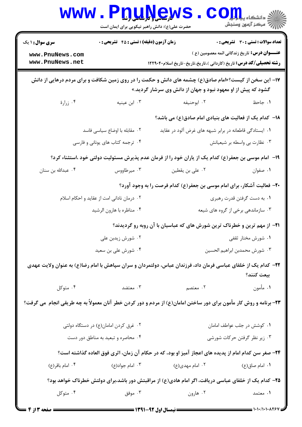| <b>WWW</b>                                                                                                                                                             |                                                                  | <b>دارساسی و تارشاسی ار</b><br>حضرت علی(ع): دانش راهبر نیکویی برای ایمان است                                       | $OII_{\rm s}$ دانشگاه پی<br>رآب مرڪز آزمون وسنڊش     |  |
|------------------------------------------------------------------------------------------------------------------------------------------------------------------------|------------------------------------------------------------------|--------------------------------------------------------------------------------------------------------------------|------------------------------------------------------|--|
| <b>سری سوال :</b> ۱ یک                                                                                                                                                 | زمان آزمون (دقیقه) : تستی : 45 آتشریحی : 0                       |                                                                                                                    | <b>تعداد سوالات : تستی : 30 ٪ تشریحی : 0</b>         |  |
| www.PnuNews.com<br>www.PnuNews.net                                                                                                                                     |                                                                  | <b>رشته تحصیلی/کد درس:</b> تاریخ (کاردانی )،تاریخ،تاریخ-تاریخ اسلام۱۲۲۹۰۴۰                                         | <b>عنـــوان درس:</b> تاریخ زندگانی ائمه معصومین (ع ) |  |
| ۱۷- این سخن از کیست؟«امام صادق(ع) چشمه های دانش و حکمت را در روی زمین شکافت و برای مردم درهایی از دانش<br>گشود که پیش از او معهود نبود و جهان از دانش وی سرشار گردید.» |                                                                  |                                                                                                                    |                                                      |  |
| ۰۴ زرارهٔ                                                                                                                                                              | ۰۳ ابن عینیه                                                     | ۰۲ ابوحنيفه                                                                                                        | ٠١. جاحظ                                             |  |
|                                                                                                                                                                        |                                                                  | ۱۸– کدام یک از فعالیت های بنیادی امام صادق(ع) می باشد؟                                                             |                                                      |  |
|                                                                                                                                                                        | ٢. مقابله با اوضاع سياسى فاسد                                    | ۰۱ ایستادگی قاطعانه در برابر شبهه های غرض آلود در عقاید                                                            |                                                      |  |
|                                                                                                                                                                        | ۰۴ ترجمه کتاب های یونانی و فارسی<br>۰۳ نظارت بی واسطه بر شیعیانش |                                                                                                                    |                                                      |  |
|                                                                                                                                                                        |                                                                  | ۱۹– امام موسی بن جعفر(ع) کدام یک از یاران خود را از فرمان عدم پذیرش مسئولیت دولتی خود ،استثناء کرد؟                |                                                      |  |
| ۰۴ عبدالله بن سنان                                                                                                                                                     | ۰۳ میرطاووس                                                      | ۰۲ علی بن یقطین                                                                                                    | ۰۱ صفوان                                             |  |
|                                                                                                                                                                        |                                                                  | ۲۰- فعالیت آشکار، برای امام موسی بن جعفر(ع) کدام فرصت را به وجود آورد؟                                             |                                                      |  |
|                                                                                                                                                                        | ۰۲ درمان نادانی امت از عقاید و احکام اسلام                       |                                                                                                                    | ۰۱ به دست گرفتن قدرت رهبری                           |  |
|                                                                                                                                                                        | ۰۴ مناظره با هارون الرشيد                                        |                                                                                                                    | ۰۳ سازماندهی برخی از گروه های شیعه                   |  |
| <b>ا۲-</b> از مهم ترین و خطرناک ترین شورش های که عباسیان با آن روبه رو گردیدند؟                                                                                        |                                                                  |                                                                                                                    |                                                      |  |
|                                                                                                                                                                        | ۰ <sup>۲</sup> شورش زیدبن علی                                    |                                                                                                                    | ۰۱ شورش مختار ثقفی                                   |  |
|                                                                                                                                                                        | ۰۴ شورش على بن سعيد                                              |                                                                                                                    | ٠٣ شورش محمدبن ابراهيم الحسين                        |  |
|                                                                                                                                                                        |                                                                  | ۲۲– کدام یک از خلفای عباسی فرمان داد، فرزندان عباس، دولتمردان و سران سپاهش با امام رضا(ع) به عنوان ولایت عهدی      | بيعت كنند؟                                           |  |
| ۰۴ متوکل                                                                                                                                                               | ۰۳ معتضد                                                         | ۰۲ معتصم                                                                                                           | ۱. مأمون                                             |  |
|                                                                                                                                                                        |                                                                  | ۲۳- برنامه و روش کار مأمون برای دور ساختن امامان(ع) از مردم و دور کردن خطر آنان معمولاً به چه طریقی انجام می گرفت؟ |                                                      |  |
| ٠١ كوشش در جلب عواطف امامان<br>۰۲ غرق کردن امامان(ع) در دستگاه دولتی                                                                                                   |                                                                  |                                                                                                                    |                                                      |  |
| ۰۴ محاصره و تبعید به مناطق دور دست                                                                                                                                     |                                                                  |                                                                                                                    | ۰۳ زیر نظر گرفتن حرکات شورشی                         |  |
|                                                                                                                                                                        |                                                                  | ۲۴– صغر سن کدام امام از پدیده های اعجاز آمیز او بود، که در حکام آن زمان، اثری فوق العاده گذاشته است؟               |                                                      |  |
| ۰۴ امام باقر(ع)                                                                                                                                                        | ۰۳ امام جواد(ع)                                                  | ۰۲ امام مهدی(ع)                                                                                                    | ۰۱ امام صاق(ع)                                       |  |
|                                                                                                                                                                        |                                                                  | ۲۵– کدام یک از خلفای عباسی دریافت، اگر امام هادی(ع) از مراقبتش دور باشد،برای دولتش خطرناک خواهد بود؟               |                                                      |  |
| ۰۴ متوکل                                                                                                                                                               | ۰۳ موفق                                                          | ۰۲ هارون                                                                                                           | ۱. معتمد                                             |  |
| <b>13 صفحه 3 از 4</b>                                                                                                                                                  |                                                                  |                                                                                                                    | = 1・1・/1・1・۸۲۶۷                                      |  |